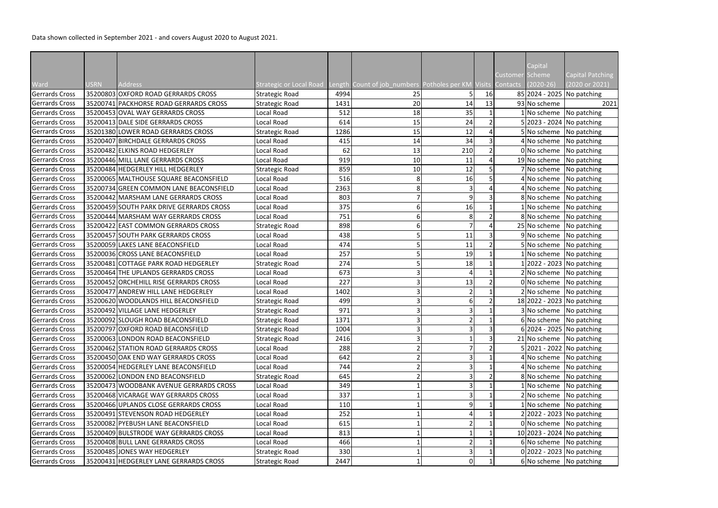Data shown collected in September 2021 - and covers August 2020 to August 2021.

|                       |             |                                          |                                |      |                                                                       |               |                |                        | Capital                     |                              |
|-----------------------|-------------|------------------------------------------|--------------------------------|------|-----------------------------------------------------------------------|---------------|----------------|------------------------|-----------------------------|------------------------------|
|                       |             |                                          |                                |      |                                                                       |               |                | <b>Customer Scheme</b> |                             | Capital Patching             |
| Ward                  | <b>USRN</b> | Address                                  | <b>Strategic or Local Road</b> |      | Length Count of job numbers Potholes per KM Visits Contacts (2020-26) |               |                |                        |                             | (2020 or 2021)               |
| Gerrards Cross        |             | 35200803 OXFORD ROAD GERRARDS CROSS      | Strategic Road                 | 4994 | 25                                                                    |               | 16             |                        | 85 2024 - 2025 No patching  |                              |
| Gerrards Cross        |             | 35200741 PACKHORSE ROAD GERRARDS CROSS   | <b>Strategic Road</b>          | 1431 | 20                                                                    | 14            | 13             |                        | 93 No scheme                | 2021                         |
| <b>Gerrards Cross</b> |             | 35200453 OVAL WAY GERRARDS CROSS         | Local Road                     | 512  | 18                                                                    | 35            |                |                        | 1 No scheme No patching     |                              |
| <b>Gerrards Cross</b> |             | 35200413 DALE SIDE GERRARDS CROSS        | Local Road                     | 614  | 15                                                                    | 24            |                |                        | 5 2023 - 2024 No patching   |                              |
| Gerrards Cross        |             | 35201380 LOWER ROAD GERRARDS CROSS       | Strategic Road                 | 1286 | 15                                                                    | 12            | 4              |                        | 5 No scheme No patching     |                              |
| <b>Gerrards Cross</b> |             | 35200407 BIRCHDALE GERRARDS CROSS        | Local Road                     | 415  | 14                                                                    | 34            | 3              |                        | 4 No scheme No patching     |                              |
| Gerrards Cross        |             | 35200482 ELKINS ROAD HEDGERLEY           | Local Road                     | 62   | 13                                                                    | 210           | $\overline{2}$ |                        |                             | $0 $ No scheme   No patching |
| <b>Gerrards Cross</b> |             | 35200446 MILL LANE GERRARDS CROSS        | Local Road                     | 919  | 10                                                                    | 11            | 4              |                        | 19 No scheme No patching    |                              |
| <b>Gerrards Cross</b> |             | 35200484 HEDGERLEY HILL HEDGERLEY        | Strategic Road                 | 859  | 10                                                                    | 12            |                |                        | 7 No scheme No patching     |                              |
| <b>Gerrards Cross</b> |             | 35200065 MALTHOUSE SQUARE BEACONSFIELD   | Local Road                     | 516  |                                                                       | 16            |                |                        | 4 No scheme No patching     |                              |
| <b>Gerrards Cross</b> |             | 35200734 GREEN COMMON LANE BEACONSFIELD  | Local Road                     | 2363 |                                                                       | 3             |                |                        | 4 No scheme No patching     |                              |
| Gerrards Cross        |             | 35200442 MARSHAM LANE GERRARDS CROSS     | Local Road                     | 803  |                                                                       | 9             | 3              |                        |                             | 8 No scheme No patching      |
| Gerrards Cross        |             | 35200459 SOUTH PARK DRIVE GERRARDS CROSS | Local Road                     | 375  |                                                                       | 16            |                |                        | 1 No scheme No patching     |                              |
| <b>Gerrards Cross</b> |             | 35200444 MARSHAM WAY GERRARDS CROSS      | Local Road                     | 751  |                                                                       | 8             |                |                        | 8 No scheme No patching     |                              |
| Gerrards Cross        |             | 35200422 EAST COMMON GERRARDS CROSS      | Strategic Road                 | 898  |                                                                       |               | 4              |                        | $25$ No scheme No patching  |                              |
| Gerrards Cross        |             | 35200457 SOUTH PARK GERRARDS CROSS       | Local Road                     | 438  |                                                                       | 11            | 3              |                        | 9 No scheme No patching     |                              |
| Gerrards Cross        |             | 35200059 LAKES LANE BEACONSFIELD         | Local Road                     | 474  |                                                                       | 11            | $\overline{2}$ |                        |                             | 5 No scheme No patching      |
| <b>Gerrards Cross</b> |             | 35200036 CROSS LANE BEACONSFIELD         | Local Road                     | 257  |                                                                       | 19            |                |                        | $1$ No scheme No patching   |                              |
| <b>Gerrards Cross</b> |             | 35200481 COTTAGE PARK ROAD HEDGERLEY     | Strategic Road                 | 274  |                                                                       | 18            |                |                        | 1 2022 - 2023   No patching |                              |
| <b>Gerrards Cross</b> |             | 35200464 THE UPLANDS GERRARDS CROSS      | Local Road                     | 673  |                                                                       |               |                |                        | 2 No scheme No patching     |                              |
| <b>Gerrards Cross</b> |             | 35200452 ORCHEHILL RISE GERRARDS CROSS   | Local Road                     | 227  |                                                                       | 13            |                |                        | 0 No scheme No patching     |                              |
| Gerrards Cross        |             | 35200477 ANDREW HILL LANE HEDGERLEY      | Local Road                     | 1402 |                                                                       |               |                |                        |                             | 2 No scheme No patching      |
| Gerrards Cross        |             | 35200620 WOODLANDS HILL BEACONSFIELD     | Strategic Road                 | 499  |                                                                       | 6             |                |                        | 18 2022 - 2023 No patching  |                              |
| <b>Gerrards Cross</b> |             | 35200492 VILLAGE LANE HEDGERLEY          | Strategic Road                 | 971  |                                                                       |               |                |                        | 3 No scheme No patching     |                              |
| Gerrards Cross        |             | 35200092 SLOUGH ROAD BEACONSFIELD        | Strategic Road                 | 1371 | วเ                                                                    | $\mathcal{D}$ |                |                        |                             | 6 No scheme No patching      |
| Gerrards Cross        |             | 35200797 OXFORD ROAD BEACONSFIELD        | Strategic Road                 | 1004 |                                                                       |               |                |                        | 6 2024 - 2025   No patching |                              |
| <b>Gerrards Cross</b> |             | 35200063 LONDON ROAD BEACONSFIELD        | Strategic Road                 | 2416 |                                                                       |               | 3              |                        | 21 No scheme No patching    |                              |
| <b>Gerrards Cross</b> |             | 35200462 STATION ROAD GERRARDS CROSS     | Local Road                     | 288  |                                                                       |               |                |                        | 5 2021 - 2022 No patching   |                              |
| <b>Gerrards Cross</b> |             | 35200450 OAK END WAY GERRARDS CROSS      | Local Road                     | 642  |                                                                       |               |                |                        | $4$ No scheme No patching   |                              |
| Gerrards Cross        |             | 35200054 HEDGERLEY LANE BEACONSFIELD     | Local Road                     | 744  |                                                                       |               |                |                        | 4 No scheme No patching     |                              |
| Gerrards Cross        |             | 35200062 LONDON END BEACONSFIELD         | Strategic Road                 | 645  |                                                                       |               |                |                        |                             | 8 No scheme No patching      |
| Gerrards Cross        |             | 35200473 WOODBANK AVENUE GERRARDS CROSS  | Local Road                     | 349  |                                                                       |               |                |                        | $1$ No scheme No patching   |                              |
| <b>Gerrards Cross</b> |             | 35200468 VICARAGE WAY GERRARDS CROSS     | Local Road                     | 337  |                                                                       |               |                |                        | 2 No scheme No patching     |                              |
| <b>Gerrards Cross</b> |             | 35200466 UPLANDS CLOSE GERRARDS CROSS    | Local Road                     | 110  |                                                                       |               |                |                        | 1 No scheme No patching     |                              |
| <b>Gerrards Cross</b> |             | 35200491 STEVENSON ROAD HEDGERLEY        | Local Road                     | 252  |                                                                       |               |                |                        | 2 2022 - 2023   No patching |                              |
| Gerrards Cross        |             | 35200082 PYEBUSH LANE BEACONSFIELD       | Local Road                     | 615  |                                                                       |               |                |                        |                             | 0 No scheme No patching      |
| Gerrards Cross        |             | 35200409 BULSTRODE WAY GERRARDS CROSS    | Local Road                     | 813  |                                                                       |               |                |                        | 10 2023 - 2024 No patching  |                              |
| Gerrards Cross        |             | 35200408 BULL LANE GERRARDS CROSS        | Local Road                     | 466  |                                                                       |               |                |                        | 6 No scheme No patching     |                              |
| Gerrards Cross        |             | 35200485 JONES WAY HEDGERLEY             | Strategic Road                 | 330  |                                                                       |               |                |                        |                             | 0 2022 - 2023 No patching    |
| <b>Gerrards Cross</b> |             | 35200431 HEDGERLEY LANE GERRARDS CROSS   | Strategic Road                 | 2447 |                                                                       | O             |                |                        |                             | 6 No scheme No patching      |